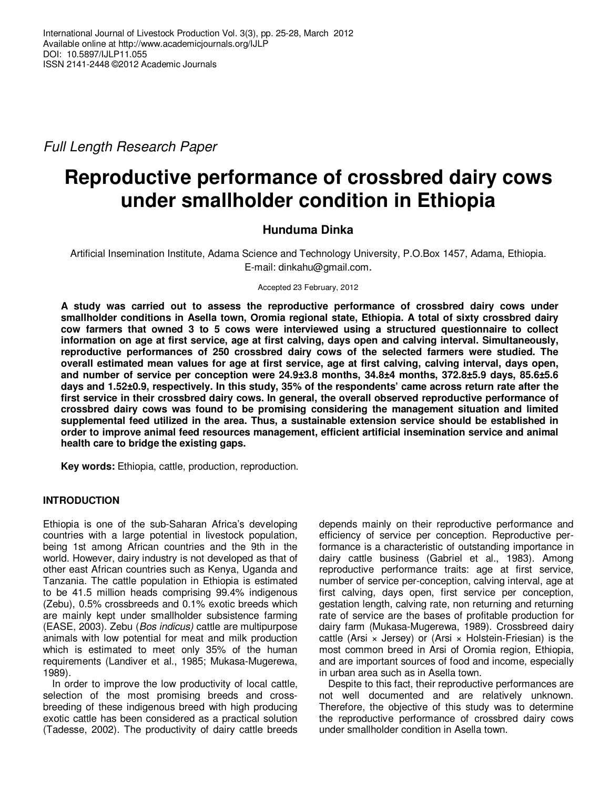Full Length Research Paper

# **Reproductive performance of crossbred dairy cows under smallholder condition in Ethiopia**

# **Hunduma Dinka**

Artificial Insemination Institute, Adama Science and Technology University, P.O.Box 1457, Adama, Ethiopia. E-mail: dinkahu@gmail.com.

Accepted 23 February, 2012

**A study was carried out to assess the reproductive performance of crossbred dairy cows under smallholder conditions in Asella town, Oromia regional state, Ethiopia. A total of sixty crossbred dairy cow farmers that owned 3 to 5 cows were interviewed using a structured questionnaire to collect information on age at first service, age at first calving, days open and calving interval. Simultaneously, reproductive performances of 250 crossbred dairy cows of the selected farmers were studied. The overall estimated mean values for age at first service, age at first calving, calving interval, days open, and number of service per conception were 24.9±3.8 months, 34.8±4 months, 372.8±5.9 days, 85.6±5.6 days and 1.52±0.9, respectively. In this study, 35% of the respondents' came across return rate after the first service in their crossbred dairy cows. In general, the overall observed reproductive performance of crossbred dairy cows was found to be promising considering the management situation and limited supplemental feed utilized in the area. Thus, a sustainable extension service should be established in order to improve animal feed resources management, efficient artificial insemination service and animal health care to bridge the existing gaps.** 

**Key words:** Ethiopia, cattle, production, reproduction.

## **INTRODUCTION**

Ethiopia is one of the sub-Saharan Africa's developing countries with a large potential in livestock population, being 1st among African countries and the 9th in the world. However, dairy industry is not developed as that of other east African countries such as Kenya, Uganda and Tanzania. The cattle population in Ethiopia is estimated to be 41.5 million heads comprising 99.4% indigenous (Zebu), 0.5% crossbreeds and 0.1% exotic breeds which are mainly kept under smallholder subsistence farming (EASE, 2003). Zebu (Bos indicus) cattle are multipurpose animals with low potential for meat and milk production which is estimated to meet only 35% of the human requirements (Landiver et al., 1985; Mukasa-Mugerewa, 1989).

In order to improve the low productivity of local cattle, selection of the most promising breeds and crossbreeding of these indigenous breed with high producing exotic cattle has been considered as a practical solution (Tadesse, 2002). The productivity of dairy cattle breeds

depends mainly on their reproductive performance and efficiency of service per conception. Reproductive performance is a characteristic of outstanding importance in dairy cattle business (Gabriel et al., 1983). Among reproductive performance traits: age at first service, number of service per-conception, calving interval, age at first calving, days open, first service per conception, gestation length, calving rate, non returning and returning rate of service are the bases of profitable production for dairy farm (Mukasa-Mugerewa, 1989). Crossbreed dairy cattle (Arsi  $\times$  Jersey) or (Arsi  $\times$  Holstein-Friesian) is the most common breed in Arsi of Oromia region, Ethiopia, and are important sources of food and income, especially in urban area such as in Asella town.

Despite to this fact, their reproductive performances are not well documented and are relatively unknown. Therefore, the objective of this study was to determine the reproductive performance of crossbred dairy cows under smallholder condition in Asella town.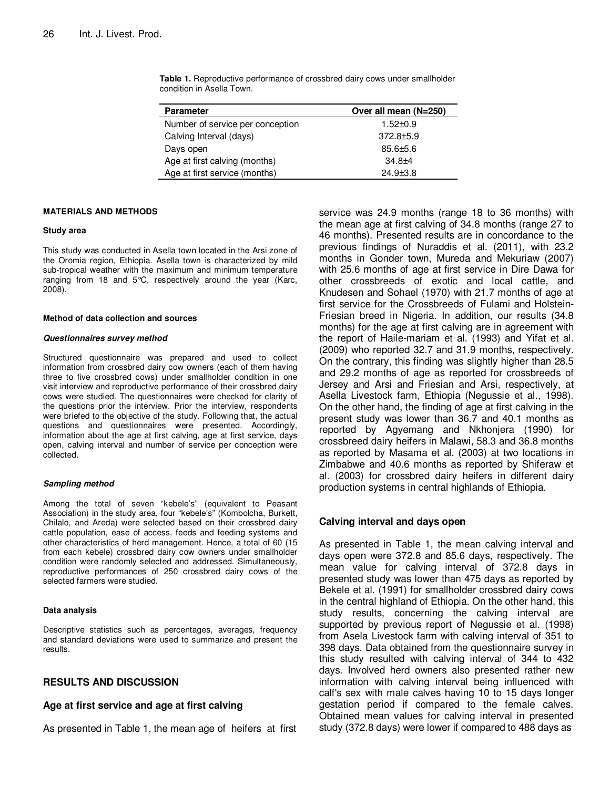| <b>Parameter</b>                 | Over all mean (N=250) |
|----------------------------------|-----------------------|
| Number of service per conception | $1.52 \pm 0.9$        |
| Calving Interval (days)          | $372.8 + 5.9$         |
| Days open                        | $85.6 \pm 5.6$        |
| Age at first calving (months)    | $34.8 + 4$            |
| Age at first service (months)    | $24.9{\pm}3.8$        |

**Table 1.** Reproductive performance of crossbred dairy cows under smallholder condition in Asella Town.

## **MATERIALS AND METHODS**

#### **Study area**

This study was conducted in Asella town located in the Arsi zone of the Oromia region, Ethiopia. Asella town is characterized by mild sub-tropical weather with the maximum and minimum temperature ranging from 18 and 5°C, respectively around the year (Karc, 2008).

#### **Method of data collection and sources**

#### **Questionnaires survey method**

Structured questionnaire was prepared and used to collect information from crossbred dairy cow owners (each of them having three to five crossbred cows) under smallholder condition in one visit interview and reproductive performance of their crossbred dairy cows were studied. The questionnaires were checked for clarity of the questions prior the interview. Prior the interview, respondents were briefed to the objective of the study. Following that, the actual questions and questionnaires were presented. Accordingly, information about the age at first calving, age at first service, days open, calving interval and number of service per conception were collected.

#### **Sampling method**

Among the total of seven "kebele's" (equivalent to Peasant Association) in the study area, four "kebele's" (Kombolcha, Burkett, Chilalo, and Areda) were selected based on their crossbred dairy cattle population, ease of access, feeds and feeding systems and other characteristics of herd management. Hence, a total of 60 (15 from each kebele) crossbred dairy cow owners under smallholder condition were randomly selected and addressed. Simultaneously, reproductive performances of 250 crossbred dairy cows of the selected farmers were studied.

#### **Data analysis**

Descriptive statistics such as percentages, averages, frequency and standard deviations were used to summarize and present the results.

## **RESULTS AND DISCUSSION**

## **Age at first service and age at first calving**

As presented in Table 1, the mean age of heifers at first

service was 24.9 months (range 18 to 36 months) with the mean age at first calving of 34.8 months (range 27 to 46 months). Presented results are in concordance to the previous findings of Nuraddis et al. (2011), with 23.2 months in Gonder town, Mureda and Mekuriaw (2007) with 25.6 months of age at first service in Dire Dawa for other crossbreeds of exotic and local cattle, and Knudesen and Sohael (1970) with 21.7 months of age at first service for the Crossbreeds of Fulami and Holstein-Friesian breed in Nigeria. In addition, our results (34.8 months) for the age at first calving are in agreement with the report of Haile-mariam et al. (1993) and Yifat et al. (2009) who reported 32.7 and 31.9 months, respectively. On the contrary, this finding was slightly higher than 28.5 and 29.2 months of age as reported for crossbreeds of Jersey and Arsi and Friesian and Arsi, respectively, at Asella Livestock farm, Ethiopia (Negussie et al., 1998). On the other hand, the finding of age at first calving in the present study was lower than 36.7 and 40.1 months as reported by Agyemang and Nkhonjera (1990) for crossbreed dairy heifers in Malawi, 58.3 and 36.8 months as reported by Masama et al. (2003) at two locations in Zimbabwe and 40.6 months as reported by Shiferaw et al. (2003) for crossbred dairy heifers in different dairy production systems in central highlands of Ethiopia.

### **Calving interval and days open**

As presented in Table 1, the mean calving interval and days open were 372.8 and 85.6 days, respectively. The mean value for calving interval of 372.8 days in presented study was lower than 475 days as reported by Bekele et al. (1991) for smallholder crossbred dairy cows in the central highland of Ethiopia. On the other hand, this study results, concerning the calving interval are supported by previous report of Negussie et al. (1998) from Asela Livestock farm with calving interval of 351 to 398 days. Data obtained from the questionnaire survey in this study resulted with calving interval of 344 to 432 days. Involved herd owners also presented rather new information with calving interval being influenced with calf's sex with male calves having 10 to 15 days longer gestation period if compared to the female calves. Obtained mean values for calving interval in presented study (372.8 days) were lower if compared to 488 days as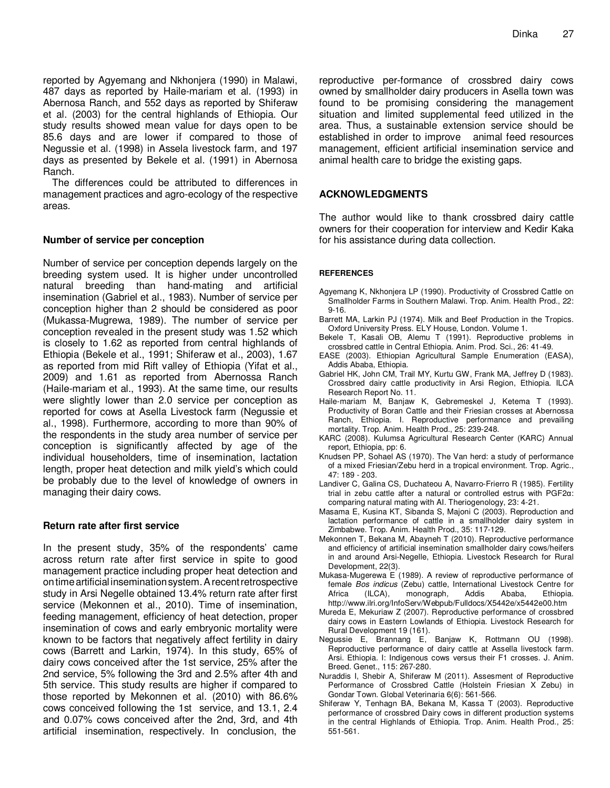reported by Agyemang and Nkhonjera (1990) in Malawi, 487 days as reported by Haile-mariam et al. (1993) in Abernosa Ranch, and 552 days as reported by Shiferaw et al. (2003) for the central highlands of Ethiopia. Our study results showed mean value for days open to be 85.6 days and are lower if compared to those of Negussie et al. (1998) in Assela livestock farm, and 197 days as presented by Bekele et al. (1991) in Abernosa Ranch.

The differences could be attributed to differences in management practices and agro-ecology of the respective areas.

## **Number of service per conception**

Number of service per conception depends largely on the breeding system used. It is higher under uncontrolled natural breeding than hand-mating and artificial insemination (Gabriel et al., 1983). Number of service per conception higher than 2 should be considered as poor (Mukassa-Mugrewa, 1989). The number of service per conception revealed in the present study was 1.52 which is closely to 1.62 as reported from central highlands of Ethiopia (Bekele et al., 1991; Shiferaw et al., 2003), 1.67 as reported from mid Rift valley of Ethiopia (Yifat et al., 2009) and 1.61 as reported from Abernossa Ranch (Haile-mariam et al., 1993). At the same time, our results were slightly lower than 2.0 service per conception as reported for cows at Asella Livestock farm (Negussie et al., 1998). Furthermore, according to more than 90% of the respondents in the study area number of service per conception is significantly affected by age of the individual householders, time of insemination, lactation length, proper heat detection and milk yield's which could be probably due to the level of knowledge of owners in managing their dairy cows.

## **Return rate after first service**

In the present study, 35% of the respondents' came across return rate after first service in spite to good management practice including proper heat detection and ontimeartificial inseminationsystem.Arecentretrospective study in Arsi Negelle obtained 13.4% return rate after first service (Mekonnen et al., 2010). Time of insemination, feeding management, efficiency of heat detection, proper insemination of cows and early embryonic mortality were known to be factors that negatively affect fertility in dairy cows (Barrett and Larkin, 1974). In this study, 65% of dairy cows conceived after the 1st service, 25% after the 2nd service, 5% following the 3rd and 2.5% after 4th and 5th service. This study results are higher if compared to those reported by Mekonnen et al. (2010) with 86.6% cows conceived following the 1st service, and 13.1, 2.4 and 0.07% cows conceived after the 2nd, 3rd, and 4th artificial insemination, respectively. In conclusion, the

reproductive per-formance of crossbred dairy cows owned by smallholder dairy producers in Asella town was found to be promising considering the management situation and limited supplemental feed utilized in the area. Thus, a sustainable extension service should be established in order to improve animal feed resources management, efficient artificial insemination service and animal health care to bridge the existing gaps.

## **ACKNOWLEDGMENTS**

The author would like to thank crossbred dairy cattle owners for their cooperation for interview and Kedir Kaka for his assistance during data collection.

## **REFERENCES**

- Agyemang K, Nkhonjera LP (1990). Productivity of Crossbred Cattle on Smallholder Farms in Southern Malawi. Trop. Anim. Health Prod., 22: 9-16.
- Barrett MA, Larkin PJ (1974). Milk and Beef Production in the Tropics. Oxford University Press. ELY House, London. Volume 1.
- Bekele T, Kasali OB, Alemu T (1991). Reproductive problems in crossbred cattle in Central Ethiopia. Anim. Prod. Sci., 26: 41-49.
- EASE (2003). Ethiopian Agricultural Sample Enumeration (EASA), Addis Ababa, Ethiopia.
- Gabriel HK, John CM, Trail MY, Kurtu GW, Frank MA, Jeffrey D (1983). Crossbred dairy cattle productivity in Arsi Region, Ethiopia. ILCA Research Report No. 11.
- Haile-mariam M, Banjaw K, Gebremeskel J, Ketema T (1993). Productivity of Boran Cattle and their Friesian crosses at Abernossa Ranch, Ethiopia. I. Reproductive performance and prevailing mortality. Trop. Anim. Health Prod., 25: 239-248.
- KARC (2008). Kulumsa Agricultural Research Center (KARC) Annual report, Ethiopia, pp: 6.
- Knudsen PP, Sohael AS (1970). The Van herd: a study of performance of a mixed Friesian/Zebu herd in a tropical environment. Trop. Agric., 47: 189 - 203.
- Landiver C, Galina CS, Duchateou A, Navarro-Frierro R (1985). Fertility trial in zebu cattle after a natural or controlled estrus with PGF2α: comparing natural mating with AI. Theriogenology, 23: 4-21.
- Masama E, Kusina KT, Sibanda S, Majoni C (2003). Reproduction and lactation performance of cattle in a smallholder dairy system in Zimbabwe. Trop. Anim. Health Prod., 35: 117-129.
- Mekonnen T, Bekana M, Abayneh T (2010). Reproductive performance and efficiency of artificial insemination smallholder dairy cows/heifers in and around Arsi-Negelle, Ethiopia. Livestock Research for Rural Development, 22(3).
- Mukasa-Mugerewa E (1989). A review of reproductive performance of female Bos indicus (Zebu) cattle, International Livestock Centre for Africa (ILCA), monograph, Addis Ababa, Ethiopia. http://www.ilri.org/InfoServ/Webpub/Fulldocs/X5442e/x5442e00.htm
- Mureda E, Mekuriaw Z (2007). Reproductive performance of crossbred dairy cows in Eastern Lowlands of Ethiopia. Livestock Research for Rural Development 19 (161).
- Negussie E, Brannang E, Banjaw K, Rottmann OU (1998). Reproductive performance of dairy cattle at Assella livestock farm. Arsi. Ethiopia. I: Indigenous cows versus their F1 crosses. J. Anim. Breed. Genet., 115: 267-280.
- Nuraddis I, Shebir A, Shiferaw M (2011). Assesment of Reproductive Performance of Crossbred Cattle (Holstein Friesian X Zebu) in Gondar Town. Global Veterinaria 6(6): 561-566.
- Shiferaw Y, Tenhagn BA, Bekana M, Kassa T (2003). Reproductive performance of crossbred Dairy cows in different production systems in the central Highlands of Ethiopia. Trop. Anim. Health Prod., 25: 551-561.